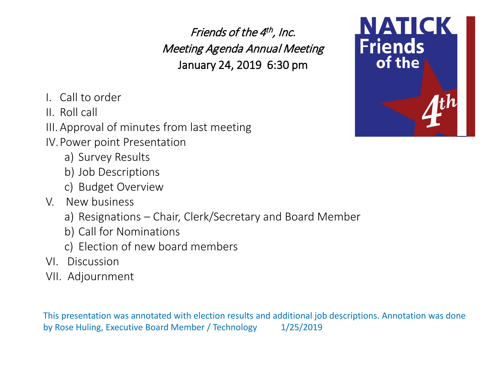Friends of the 4<sup>th</sup>, Inc. Meeting Agenda Annual Meeting January 24, 2019 6:30 pm

- I. Call to order
- II. Roll call
- III.Approval of minutes from last meeting
- IV.Power point Presentation
	- a) Survey Results
	- b) Job Descriptions
	- c) Budget Overview
- V. New business
	- a) Resignations Chair, Clerk/Secretary and Board Member
	- b) Call for Nominations
	- c) Election of new board members
- VI. Discussion
- VII. Adjournment

This presentation was annotated with election results and additional job descriptions. Annotation was done by Rose Huling, Executive Board Member / Technology 1/25/2019

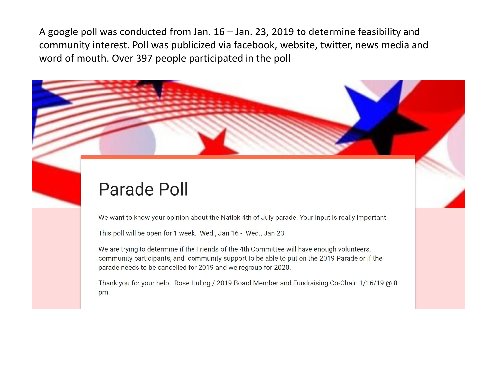A google poll was conducted from Jan. 16 – Jan. 23, 2019 to determine feasibility and community interest. Poll was publicized via facebook, website, twitter, news media and word of mouth. Over 397 people participated in the poll

## Parade Poll

We want to know your opinion about the Natick 4th of July parade. Your input is really important.

This poll will be open for 1 week. Wed., Jan 16 - Wed., Jan 23.

We are trying to determine if the Friends of the 4th Committee will have enough volunteers, community participants, and community support to be able to put on the 2019 Parade or if the parade needs to be cancelled for 2019 and we regroup for 2020.

Thank you for your help. Rose Huling / 2019 Board Member and Fundraising Co-Chair 1/16/19 @ 8 pm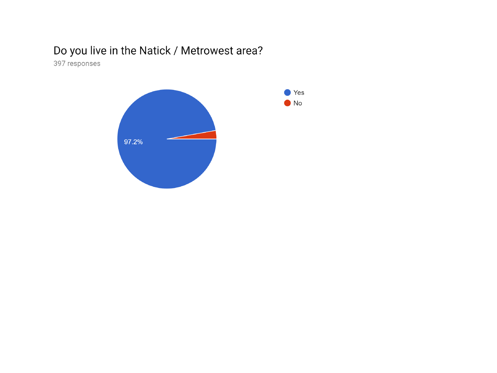## Do you live in the Natick / Metrowest area?

397 responses

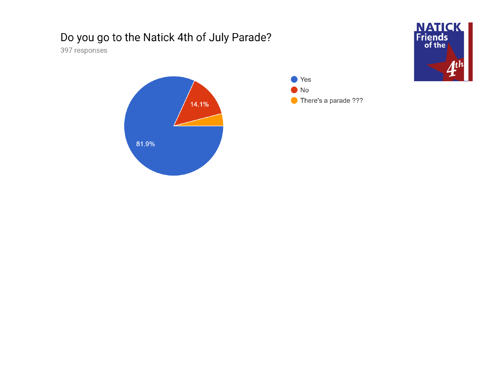## Do you go to the Natick 4th of July Parade?

397 responses





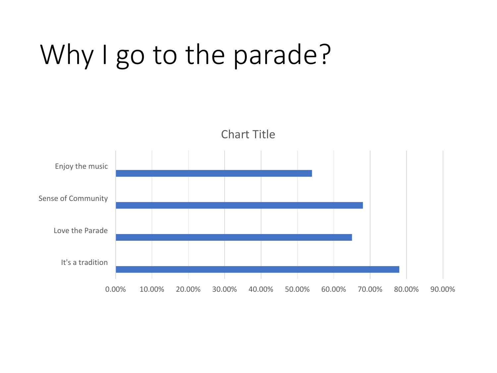# Why I go to the parade?

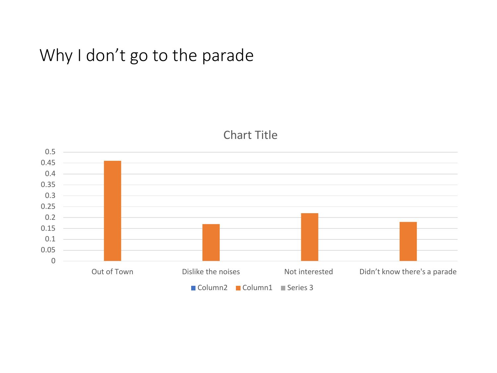## Why I don't go to the parade



## Chart Title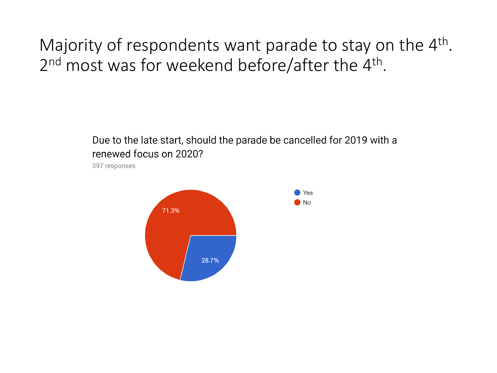Majority of respondents want parade to stay on the  $4<sup>th</sup>$ . 2<sup>nd</sup> most was for weekend before/after the 4<sup>th</sup>.

> Due to the late start, should the parade be cancelled for 2019 with a renewed focus on 2020?

397 responses

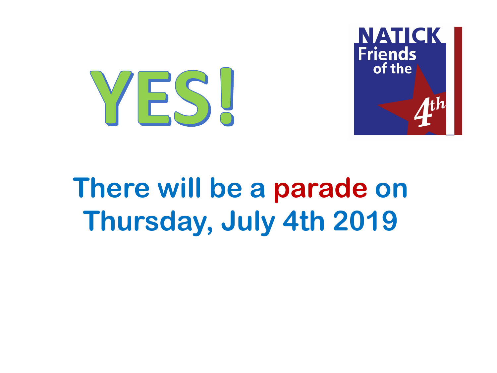



# **There will be a parade on Thursday, July 4th 2019**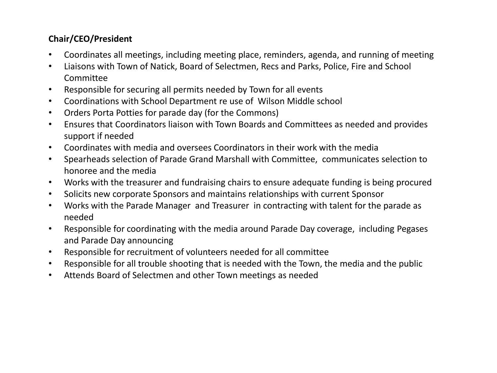## **Chair/CEO/President**

- Coordinates all meetings, including meeting place, reminders, agenda, and running of meeting
- Liaisons with Town of Natick, Board of Selectmen, Recs and Parks, Police, Fire and School Committee
- Responsible for securing all permits needed by Town for all events
- Coordinations with School Department re use of Wilson Middle school
- Orders Porta Potties for parade day (for the Commons)
- Ensures that Coordinators liaison with Town Boards and Committees as needed and provides support if needed
- Coordinates with media and oversees Coordinators in their work with the media
- Spearheads selection of Parade Grand Marshall with Committee, communicates selection to honoree and the media
- Works with the treasurer and fundraising chairs to ensure adequate funding is being procured
- Solicits new corporate Sponsors and maintains relationships with current Sponsor
- Works with the Parade Manager and Treasurer in contracting with talent for the parade as needed
- Responsible for coordinating with the media around Parade Day coverage, including Pegases and Parade Day announcing
- Responsible for recruitment of volunteers needed for all committee
- Responsible for all trouble shooting that is needed with the Town, the media and the public
- Attends Board of Selectmen and other Town meetings as needed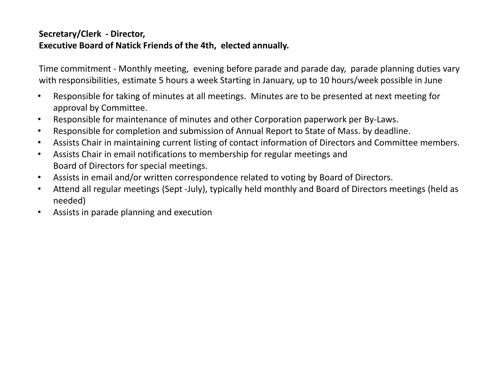## **Secretary/Clerk - Director, Executive Board of Natick Friends of the 4th, elected annually.**

Time commitment - Monthly meeting, evening before parade and parade day, parade planning duties vary with responsibilities, estimate 5 hours a week Starting in January, up to 10 hours/week possible in June

- Responsible for taking of minutes at all meetings. Minutes are to be presented at next meeting for approval by Committee.
- Responsible for maintenance of minutes and other Corporation paperwork per By-Laws.
- Responsible for completion and submission of Annual Report to State of Mass. by deadline.
- Assists Chair in maintaining current listing of contact information of Directors and Committee members.
- Assists Chair in email notifications to membership for regular meetings and Board of Directors for special meetings.
- Assists in email and/or written correspondence related to voting by Board of Directors.
- Attend all regular meetings (Sept -July), typically held monthly and Board of Directors meetings (held as needed)
- Assists in parade planning and execution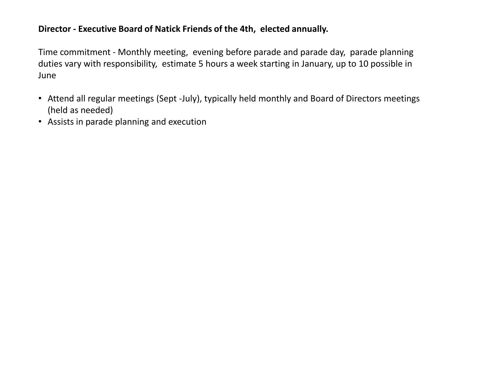#### **Director - Executive Board of Natick Friends of the 4th, elected annually.**

Time commitment - Monthly meeting, evening before parade and parade day, parade planning duties vary with responsibility, estimate 5 hours a week starting in January, up to 10 possible in June

- Attend all regular meetings (Sept -July), typically held monthly and Board of Directors meetings (held as needed)
- Assists in parade planning and execution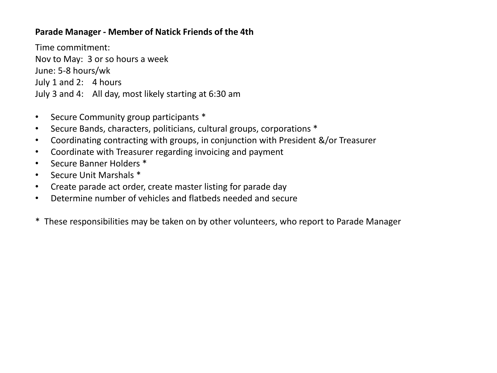#### **Parade Manager - Member of Natick Friends of the 4th**

Time commitment: Nov to May: 3 or so hours a week June: 5-8 hours/wk July 1 and 2: 4 hours July 3 and 4: All day, most likely starting at 6:30 am

- Secure Community group participants \*
- Secure Bands, characters, politicians, cultural groups, corporations \*
- Coordinating contracting with groups, in conjunction with President &/or Treasurer
- Coordinate with Treasurer regarding invoicing and payment
- Secure Banner Holders \*
- Secure Unit Marshals \*
- Create parade act order, create master listing for parade day
- Determine number of vehicles and flatbeds needed and secure
- \* These responsibilities may be taken on by other volunteers, who report to Parade Manager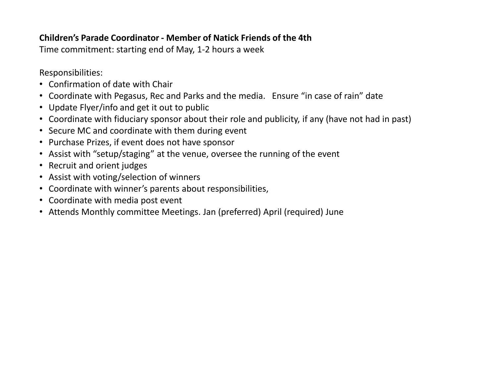## **Children's Parade Coordinator - Member of Natick Friends of the 4th**

Time commitment: starting end of May, 1-2 hours a week

Responsibilities:

- Confirmation of date with Chair
- Coordinate with Pegasus, Rec and Parks and the media. Ensure "in case of rain" date
- Update Flyer/info and get it out to public
- Coordinate with fiduciary sponsor about their role and publicity, if any (have not had in past)
- Secure MC and coordinate with them during event
- Purchase Prizes, if event does not have sponsor
- Assist with "setup/staging" at the venue, oversee the running of the event
- Recruit and orient judges
- Assist with voting/selection of winners
- Coordinate with winner's parents about responsibilities,
- Coordinate with media post event
- Attends Monthly committee Meetings. Jan (preferred) April (required) June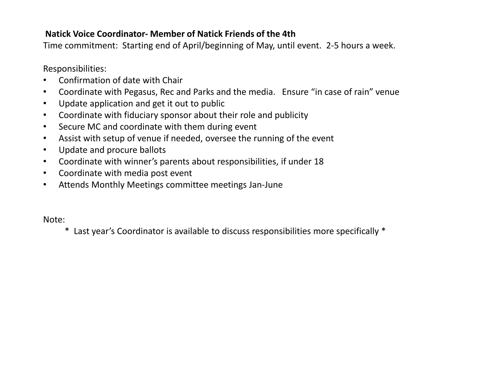## **Natick Voice Coordinator- Member of Natick Friends of the 4th**

Time commitment: Starting end of April/beginning of May, until event. 2-5 hours a week.

Responsibilities:

- Confirmation of date with Chair
- Coordinate with Pegasus, Rec and Parks and the media. Ensure "in case of rain" venue
- Update application and get it out to public
- Coordinate with fiduciary sponsor about their role and publicity
- Secure MC and coordinate with them during event
- Assist with setup of venue if needed, oversee the running of the event
- Update and procure ballots
- Coordinate with winner's parents about responsibilities, if under 18
- Coordinate with media post event
- Attends Monthly Meetings committee meetings Jan-June

Note:

\* Last year's Coordinator is available to discuss responsibilities more specifically \*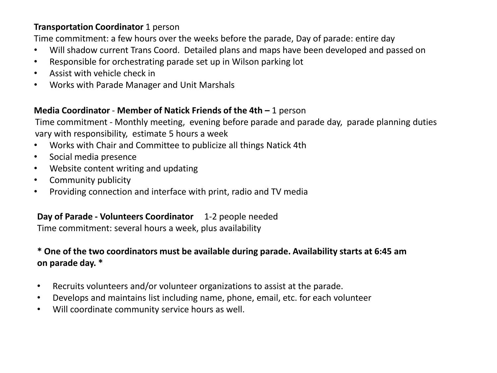### **Transportation Coordinator** 1 person

Time commitment: a few hours over the weeks before the parade, Day of parade: entire day

- Will shadow current Trans Coord. Detailed plans and maps have been developed and passed on
- Responsible for orchestrating parade set up in Wilson parking lot
- Assist with vehicle check in
- Works with Parade Manager and Unit Marshals

## **Media Coordinator** - **Member of Natick Friends of the 4th –** 1 person

Time commitment - Monthly meeting, evening before parade and parade day, parade planning duties vary with responsibility, estimate 5 hours a week

- Works with Chair and Committee to publicize all things Natick 4th
- Social media presence
- Website content writing and updating
- Community publicity
- Providing connection and interface with print, radio and TV media

## **Day of Parade - Volunteers Coordinator** 1-2 people needed

Time commitment: several hours a week, plus availability

## **\* One of the two coordinators must be available during parade. Availability starts at 6:45 am on parade day. \***

- Recruits volunteers and/or volunteer organizations to assist at the parade.
- Develops and maintains list including name, phone, email, etc. for each volunteer
- Will coordinate community service hours as well.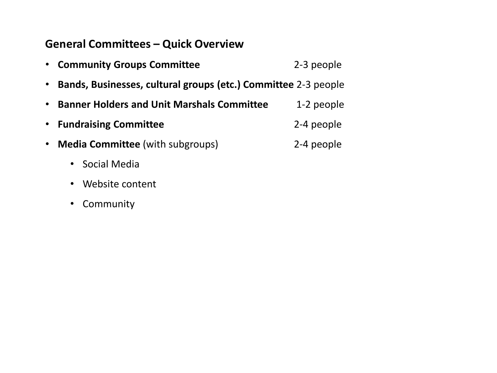## **General Committees – Quick Overview**

| $\bullet$ | <b>Community Groups Committee</b>                              | 2-3 people |
|-----------|----------------------------------------------------------------|------------|
|           | Bands, Businesses, cultural groups (etc.) Committee 2-3 people |            |
| $\bullet$ | <b>Banner Holders and Unit Marshals Committee</b>              | 1-2 people |
| $\bullet$ | <b>Fundraising Committee</b>                                   | 2-4 people |
| $\bullet$ | <b>Media Committee</b> (with subgroups)                        | 2-4 people |
|           | Social Media                                                   |            |
|           | Website content                                                |            |
|           |                                                                |            |

• Community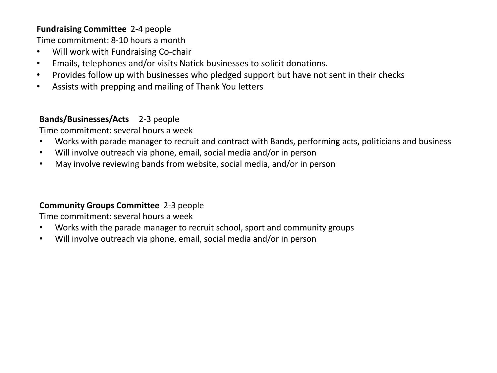#### **Fundraising Committee** 2-4 people

Time commitment: 8-10 hours a month

- Will work with Fundraising Co-chair
- Emails, telephones and/or visits Natick businesses to solicit donations.
- Provides follow up with businesses who pledged support but have not sent in their checks
- Assists with prepping and mailing of Thank You letters

### **Bands/Businesses/Acts** 2-3 people

Time commitment: several hours a week

- Works with parade manager to recruit and contract with Bands, performing acts, politicians and business
- Will involve outreach via phone, email, social media and/or in person
- May involve reviewing bands from website, social media, and/or in person

#### **Community Groups Committee** 2-3 people

Time commitment: several hours a week

- Works with the parade manager to recruit school, sport and community groups
- Will involve outreach via phone, email, social media and/or in person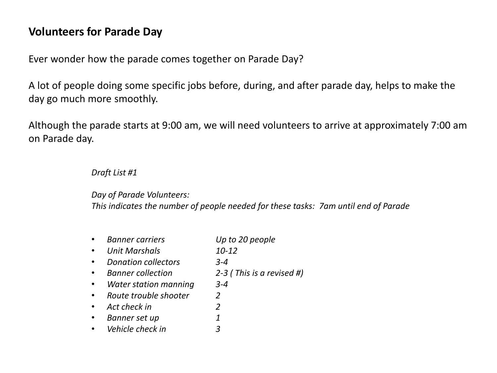## **Volunteers for Parade Day**

Ever wonder how the parade comes together on Parade Day?

A lot of people doing some specific jobs before, during, and after parade day, helps to make the day go much more smoothly.

Although the parade starts at 9:00 am, we will need volunteers to arrive at approximately 7:00 am on Parade day.

#### *Draft List #1*

## *Day of Parade Volunteers:*

*This indicates the number of people needed for these tasks: 7am until end of Parade*

• *Banner carriers Up to 20 people* • *Unit Marshals 10-12*  • *Donation collectors 3-4*  • *Banner collection 2-3 ( This is a revised #)* • *Water station manning 3-4*  • *Route trouble shooter 2* • *Act check in 2* • *Banner set up 1* • *Vehicle check in 3*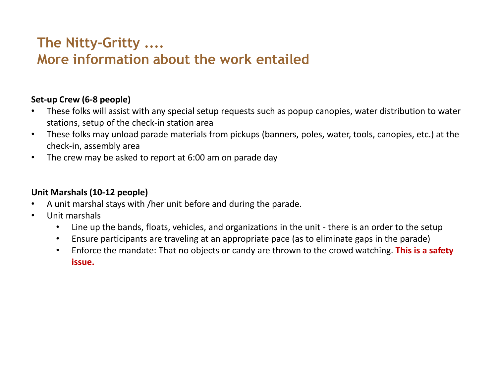## **The Nitty-Gritty .... More information about the work entailed**

## **Set-up Crew (6-8 people)**

- These folks will assist with any special setup requests such as popup canopies, water distribution to water stations, setup of the check-in station area
- These folks may unload parade materials from pickups (banners, poles, water, tools, canopies, etc.) at the check-in, assembly area
- The crew may be asked to report at 6:00 am on parade day

## **Unit Marshals (10-12 people)**

- A unit marshal stays with /her unit before and during the parade.
- Unit marshals
	- Line up the bands, floats, vehicles, and organizations in the unit there is an order to the setup
	- Ensure participants are traveling at an appropriate pace (as to eliminate gaps in the parade)
	- Enforce the mandate: That no objects or candy are thrown to the crowd watching. **This is a safety issue.**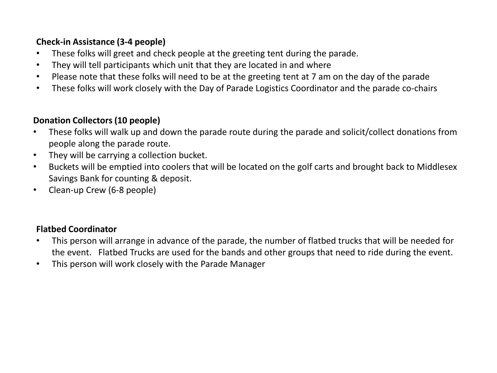## **Check-in Assistance (3-4 people)**

- These folks will greet and check people at the greeting tent during the parade.
- They will tell participants which unit that they are located in and where
- Please note that these folks will need to be at the greeting tent at 7 am on the day of the parade
- These folks will work closely with the Day of Parade Logistics Coordinator and the parade co-chairs

## **Donation Collectors (10 people)**

- These folks will walk up and down the parade route during the parade and solicit/collect donations from people along the parade route.
- They will be carrying a collection bucket.
- Buckets will be emptied into coolers that will be located on the golf carts and brought back to Middlesex Savings Bank for counting & deposit.
- Clean-up Crew (6-8 people)

## **Flatbed Coordinator**

- This person will arrange in advance of the parade, the number of flatbed trucks that will be needed for the event. Flatbed Trucks are used for the bands and other groups that need to ride during the event.
- This person will work closely with the Parade Manager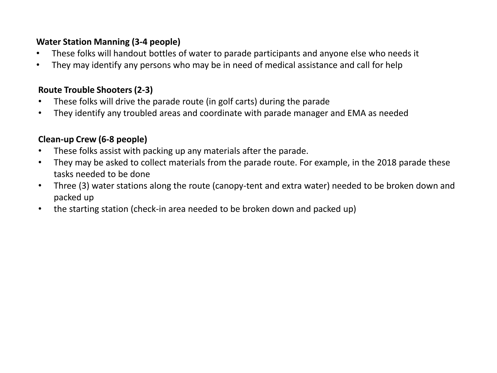## **Water Station Manning (3-4 people)**

- These folks will handout bottles of water to parade participants and anyone else who needs it
- They may identify any persons who may be in need of medical assistance and call for help

### **Route Trouble Shooters (2-3)**

- These folks will drive the parade route (in golf carts) during the parade
- They identify any troubled areas and coordinate with parade manager and EMA as needed

## **Clean-up Crew (6-8 people)**

- These folks assist with packing up any materials after the parade.
- They may be asked to collect materials from the parade route. For example, in the 2018 parade these tasks needed to be done
- Three (3) water stations along the route (canopy-tent and extra water) needed to be broken down and packed up
- the starting station (check-in area needed to be broken down and packed up)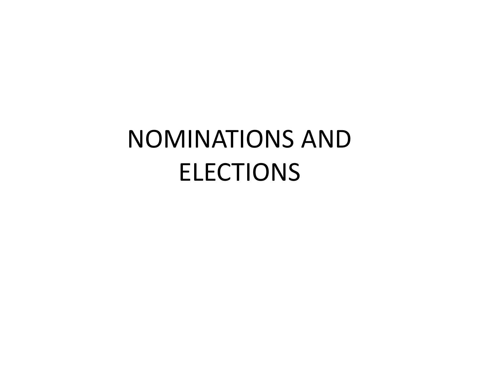# NOMINATIONS AND ELECTIONS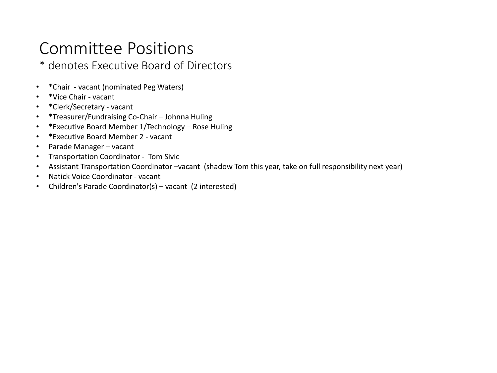## Committee Positions

\* denotes Executive Board of Directors

- \*Chair vacant (nominated Peg Waters)
- \*Vice Chair vacant
- \*Clerk/Secretary vacant
- \*Treasurer/Fundraising Co-Chair Johnna Huling
- \*Executive Board Member 1/Technology Rose Huling
- \*Executive Board Member 2 vacant
- Parade Manager vacant
- Transportation Coordinator Tom Sivic
- Assistant Transportation Coordinator –vacant (shadow Tom this year, take on full responsibility next year)
- Natick Voice Coordinator vacant
- Children's Parade Coordinator(s) vacant (2 interested)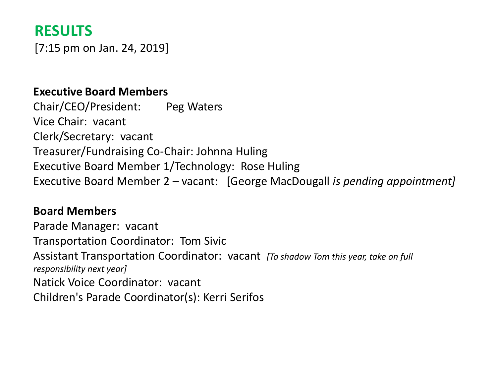## **RESULTS**

[7:15 pm on Jan. 24, 2019]

## **Executive Board Members**

Chair/CEO/President: Peg Waters Vice Chair: vacant Clerk/Secretary: vacant Treasurer/Fundraising Co-Chair: Johnna Huling Executive Board Member 1/Technology: Rose Huling Executive Board Member 2 – vacant: [George MacDougall *is pending appointment]*

## **Board Members**

Parade Manager: vacant Transportation Coordinator: Tom Sivic Assistant Transportation Coordinator: vacant *[To shadow Tom this year, take on full responsibility next year]* Natick Voice Coordinator: vacant Children's Parade Coordinator(s): Kerri Serifos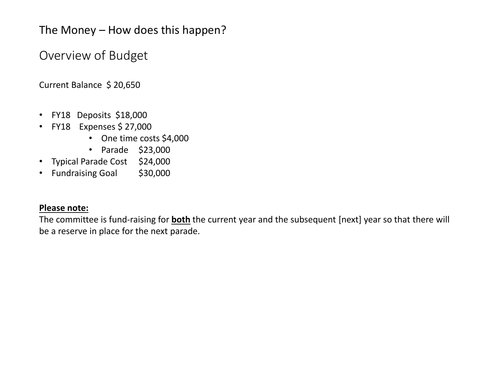The Money – How does this happen?

Overview of Budget

Current Balance \$ 20,650

- FY18 Deposits \$18,000
- FY18 Expenses \$ 27,000
	- One time costs \$4,000
	- Parade \$23,000
- Typical Parade Cost \$24,000
- Fundraising Goal \$30,000

#### **Please note:**

The committee is fund-raising for **both** the current year and the subsequent [next] year so that there will be a reserve in place for the next parade.